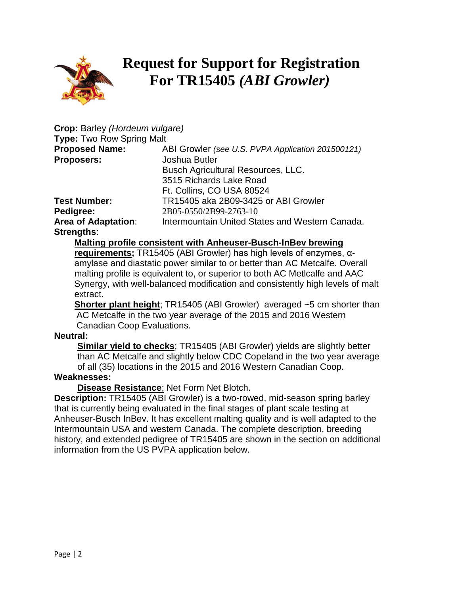

# **Request for Support for Registration For TR15405** *(ABI Growler)*

| Crop: Barley (Hordeum vulgare)   |                                                   |
|----------------------------------|---------------------------------------------------|
| <b>Type: Two Row Spring Malt</b> |                                                   |
| <b>Proposed Name:</b>            | ABI Growler (see U.S. PVPA Application 201500121) |
| <b>Proposers:</b>                | Joshua Butler                                     |
|                                  | Busch Agricultural Resources, LLC.                |
|                                  | 3515 Richards Lake Road                           |
|                                  | Ft. Collins, CO USA 80524                         |
| <b>Test Number:</b>              | TR15405 aka 2B09-3425 or ABI Growler              |
| Pedigree:                        | 2B05-0550/2B99-2763-10                            |
| <b>Area of Adaptation:</b>       | Intermountain United States and Western Canada.   |
| <b>Strengths:</b>                |                                                   |

### **Malting profile consistent with Anheuser-Busch-InBev brewing**

**requirements;** TR15405 (ABI Growler) has high levels of enzymes, αamylase and diastatic power similar to or better than AC Metcalfe. Overall malting profile is equivalent to, or superior to both AC Metlcalfe and AAC Synergy, with well-balanced modification and consistently high levels of malt extract.

**Shorter plant height**; TR15405 (ABI Growler) averaged ~5 cm shorter than AC Metcalfe in the two year average of the 2015 and 2016 Western Canadian Coop Evaluations.

#### **Neutral:**

**Similar yield to checks**; TR15405 (ABI Growler) yields are slightly better than AC Metcalfe and slightly below CDC Copeland in the two year average of all (35) locations in the 2015 and 2016 Western Canadian Coop.

#### **Weaknesses:**

**Disease Resistance**; Net Form Net Blotch.

**Description:** TR15405 (ABI Growler) is a two-rowed, mid-season spring barley that is currently being evaluated in the final stages of plant scale testing at Anheuser-Busch InBev. It has excellent malting quality and is well adapted to the Intermountain USA and western Canada. The complete description, breeding history, and extended pedigree of TR15405 are shown in the section on additional information from the US PVPA application below.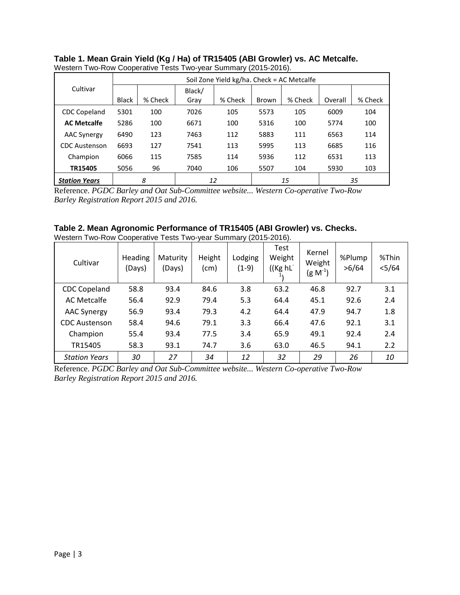|                      |              |         |        | Soil Zone Yield kg/ha. Check = AC Metcalfe |       |         |         |         |  |  |
|----------------------|--------------|---------|--------|--------------------------------------------|-------|---------|---------|---------|--|--|
| Cultivar             |              |         | Black/ |                                            |       |         |         |         |  |  |
|                      | <b>Black</b> | % Check | Gray   | % Check                                    | Brown | % Check | Overall | % Check |  |  |
| <b>CDC Copeland</b>  | 5301         | 100     | 7026   | 105                                        | 5573  | 105     | 6009    | 104     |  |  |
| <b>AC Metcalfe</b>   | 5286         | 100     | 6671   | 100                                        | 5316  | 100     | 5774    | 100     |  |  |
| <b>AAC Synergy</b>   | 6490         | 123     | 7463   | 112                                        | 5883  | 111     | 6563    | 114     |  |  |
| <b>CDC</b> Austenson | 6693         | 127     | 7541   | 113                                        | 5995  | 113     | 6685    | 116     |  |  |
| Champion             | 6066         | 115     | 7585   | 114                                        | 5936  | 112     | 6531    | 113     |  |  |
| TR15405              | 5056         | 96      | 7040   | 106                                        | 5507  | 104     | 5930    | 103     |  |  |
| <b>Station Years</b> |              | 8       |        | 12                                         |       | 15      |         | 35      |  |  |

#### **Table 1. Mean Grain Yield (Kg / Ha) of TR15405 (ABI Growler) vs. AC Metcalfe.** Western Two-Row Cooperative Tests Two-year Summary (2015-2016).

Reference. *PGDC Barley and Oat Sub-Committee website... Western Co-operative Two-Row Barley Registration Report 2015 and 2016.* 

# **Table 2. Mean Agronomic Performance of TR15405 (ABI Growler) vs. Checks.**

|  | Western Two-Row Cooperative Tests Two-year Summary (2015-2016). |
|--|-----------------------------------------------------------------|

| Cultivar             | <b>Heading</b><br>(Days) | Maturity<br>(Days) | Height<br>(cm) | Lodging<br>$(1-9)$ | Test<br>Weight<br>((Kg hL | Kernel<br>Weight<br>$(g\ N^{-1})$ | %Plump<br>>6/64 | %Thin<br>$<$ 5/64 |
|----------------------|--------------------------|--------------------|----------------|--------------------|---------------------------|-----------------------------------|-----------------|-------------------|
| <b>CDC Copeland</b>  | 58.8                     | 93.4               | 84.6           | 3.8                | 63.2                      | 46.8                              | 92.7            | 3.1               |
| <b>AC Metcalfe</b>   | 56.4                     | 92.9               | 79.4           | 5.3                | 64.4                      | 45.1                              | 92.6            | 2.4               |
| <b>AAC Synergy</b>   | 56.9                     | 93.4               | 79.3           | 4.2                | 64.4                      | 47.9                              | 94.7            | 1.8               |
| <b>CDC Austenson</b> | 58.4                     | 94.6               | 79.1           | 3.3                | 66.4                      | 47.6                              | 92.1            | 3.1               |
| Champion             | 55.4                     | 93.4               | 77.5           | 3.4                | 65.9                      | 49.1                              | 92.4            | 2.4               |
| TR15405              | 58.3                     | 93.1               | 74.7           | 3.6                | 63.0                      | 46.5                              | 94.1            | 2.2               |
| <b>Station Years</b> | 30                       | 27                 | 34             | 12                 | 32                        | 29                                | 26              | 10                |

Reference. *PGDC Barley and Oat Sub-Committee website... Western Co-operative Two-Row Barley Registration Report 2015 and 2016.*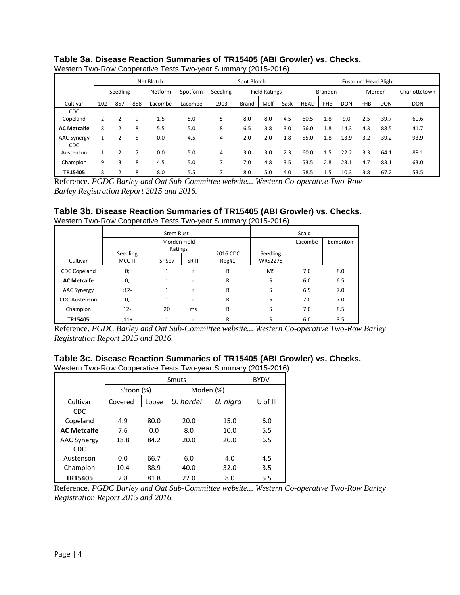|                    |     |          |     | Net Blotch |          | Spot Blotch |              |                      | <b>Fusarium Head Blight</b> |                |            |            |            |               |            |
|--------------------|-----|----------|-----|------------|----------|-------------|--------------|----------------------|-----------------------------|----------------|------------|------------|------------|---------------|------------|
|                    |     | Seedling |     | Netform    | Spotform | Seedling    |              | <b>Field Ratings</b> |                             | <b>Brandon</b> |            | Morden     |            | Charlottetown |            |
| Cultivar           | 102 | 857      | 858 | Lacombe    | Lacombe  | 1903        | <b>Brand</b> | Melf                 | Sask                        | HEAD           | <b>FHB</b> | <b>DON</b> | <b>FHB</b> | <b>DON</b>    | <b>DON</b> |
| <b>CDC</b>         |     |          |     |            |          |             |              |                      |                             |                |            |            |            |               |            |
| Copeland           | 2   | 2        | 9   | 1.5        | 5.0      | 5           | 8.0          | 8.0                  | 4.5                         | 60.5           | 1.8        | 9.0        | 2.5        | 39.7          | 60.6       |
| <b>AC Metcalfe</b> | 8   | 2        | 8   | 5.5        | 5.0      | 8           | 6.5          | 3.8                  | 3.0                         | 56.0           | 1.8        | 14.3       | 4.3        | 88.5          | 41.7       |
| <b>AAC Synergy</b> |     |          | 5   | 0.0        | 4.5      | 4           | 2.0          | 2.0                  | 1.8                         | 55.0           | 1.8        | 13.9       | 3.2        | 39.2          | 93.9       |
| <b>CDC</b>         |     |          |     |            |          |             |              |                      |                             |                |            |            |            |               |            |
| Austenson          |     | 2        |     | 0.0        | 5.0      | 4           | 3.0          | 3.0                  | 2.3                         | 60.0           | 1.5        | 22.2       | 3.3        | 64.1          | 88.1       |
| Champion           | 9   | 3        | 8   | 4.5        | 5.0      |             | 7.0          | 4.8                  | 3.5                         | 53.5           | 2.8        | 23.1       | 4.7        | 83.1          | 63.0       |
| TR15405            | 8   |          | 8   | 8.0        | 5.5      |             | 8.0          | 5.0                  | 4.0                         | 58.5           | 1.5        | 10.3       | 3.8        | 67.2          | 53.5       |

#### **Table 3a. Disease Reaction Summaries of TR15405 (ABI Growler) vs. Checks.** Western Two-Row Cooperative Tests Two-year Summary (2015-2016).

Reference. *PGDC Barley and Oat Sub-Committee website... Western Co-operative Two-Row Barley Registration Report 2015 and 2016.* 

# **Table 3b. Disease Reaction Summaries of TR15405 (ABI Growler) vs. Checks.**

Western Two-Row Cooperative Tests Two-year Summary (2015-2016).

|                      |                    | <b>Stem Rust</b>        |                  | Scald             |                            |         |          |  |
|----------------------|--------------------|-------------------------|------------------|-------------------|----------------------------|---------|----------|--|
|                      |                    | Morden Field<br>Ratings |                  |                   |                            | Lacombe | Edmonton |  |
| Cultivar             | Seedling<br>MCC IT | Sr Sev                  | SR <sub>IT</sub> | 2016 CDC<br>Rpg#1 | Seedling<br><b>WRS2275</b> |         |          |  |
| <b>CDC Copeland</b>  | 0;                 | 1                       | r                | $\mathsf{R}$      | <b>MS</b>                  | 7.0     | 8.0      |  |
| <b>AC Metcalfe</b>   | 0;                 | 1                       |                  | R                 | S                          | 6.0     | 6.5      |  |
| <b>AAC Synergy</b>   | $:12-$             | $\mathbf{1}$            | r                | R                 | S                          | 6.5     | 7.0      |  |
| <b>CDC</b> Austenson | 0;                 | $\mathbf{1}$            | r                | R                 | S                          | 7.0     | 7.0      |  |
| Champion             | $12 -$             | 20                      | ms               | R                 | S                          | 7.0     | 8.5      |  |
| TR15405              | $:11+$             | 1                       |                  | R                 |                            | 6.0     | 3.5      |  |

Reference. *PGDC Barley and Oat Sub-Committee website... Western Co-operative Two-Row Barley Registration Report 2015 and 2016.* 

#### **Table 3c. Disease Reaction Summaries of TR15405 (ABI Growler) vs. Checks.**

Western Two-Row Cooperative Tests Two-year Summary (2015-2016).

|                    |                  | Smuts |           |           |          |  |  |  |  |  |
|--------------------|------------------|-------|-----------|-----------|----------|--|--|--|--|--|
|                    | $S'$ toon $(\%)$ |       |           | Moden (%) |          |  |  |  |  |  |
| Cultivar           | Covered          | Loose | U. hordei | U. nigra  | U of Ill |  |  |  |  |  |
| <b>CDC</b>         |                  |       |           |           |          |  |  |  |  |  |
| Copeland           | 4.9              | 80.0  | 20.0      | 15.0      | 6.0      |  |  |  |  |  |
| <b>AC Metcalfe</b> | 7.6              | 0.0   | 8.0       | 10.0      | 5.5      |  |  |  |  |  |
| <b>AAC Synergy</b> | 18.8             | 84.2  | 20.0      | 20.0      | 6.5      |  |  |  |  |  |
| <b>CDC</b>         |                  |       |           |           |          |  |  |  |  |  |
| Austenson          | 0.0              | 66.7  | 6.0       | 4.0       | 4.5      |  |  |  |  |  |
| Champion           | 10.4             | 88.9  | 40.0      | 32.0      | 3.5      |  |  |  |  |  |
| TR15405            | 2.8              | 81.8  | 22.0      | 8.0       | 5.5      |  |  |  |  |  |

Reference. *PGDC Barley and Oat Sub-Committee website... Western Co-operative Two-Row Barley Registration Report 2015 and 2016.*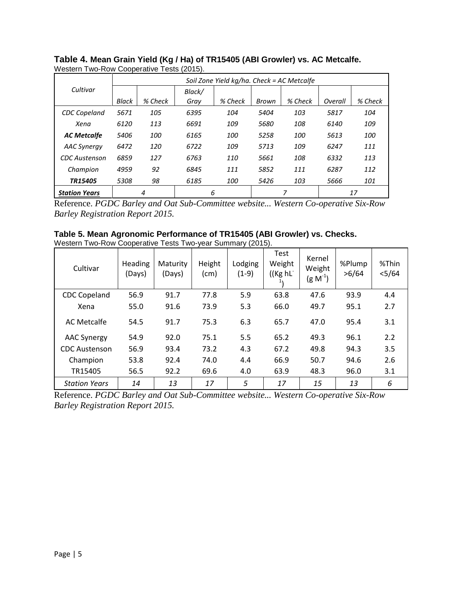|                      |       | Soil Zone Yield kg/ha. Check = AC Metcalfe |        |         |       |         |         |            |  |  |  |
|----------------------|-------|--------------------------------------------|--------|---------|-------|---------|---------|------------|--|--|--|
| Cultivar             |       |                                            | Black/ |         |       |         |         |            |  |  |  |
|                      | Black | % Check                                    | Gray   | % Check | Brown | % Check | Overall | % Check    |  |  |  |
| <b>CDC</b> Copeland  | 5671  | 105                                        | 6395   | 104     | 5404  | 103     | 5817    | 104        |  |  |  |
| Xena                 | 6120  | 113                                        | 6691   | 109     | 5680  | 108     | 6140    | 109        |  |  |  |
| <b>AC Metcalfe</b>   | 5406  | 100                                        | 6165   | 100     | 5258  | 100     | 5613    | <i>100</i> |  |  |  |
| <b>AAC Synergy</b>   | 6472  | 120                                        | 6722   | 109     | 5713  | 109     | 6247    | 111        |  |  |  |
| CDC Austenson        | 6859  | 127                                        | 6763   | 110     | 5661  | 108     | 6332    | 113        |  |  |  |
| Champion             | 4959  | 92                                         | 6845   | 111     | 5852  | 111     | 6287    | 112        |  |  |  |
| TR15405              | 5308  | 98                                         | 6185   | 100     | 5426  | 103     | 5666    | 101        |  |  |  |
| <b>Station Years</b> |       | 4                                          | 6      |         |       | 7       |         | 17         |  |  |  |

**Table 4. Mean Grain Yield (Kg / Ha) of TR15405 (ABI Growler) vs. AC Metcalfe.** Western Two-Row Cooperative Tests (2015).

Reference. *PGDC Barley and Oat Sub-Committee website... Western Co-operative Six-Row Barley Registration Report 2015.*

**Table 5. Mean Agronomic Performance of TR15405 (ABI Growler) vs. Checks.** Western Two-Row Cooperative Tests Two-year Summary (2015).

| Cultivar             | Heading<br>(Days) | Maturity<br>(Days) | Height<br>(cm) | Lodging<br>$(1-9)$ | <b>Test</b><br>Weight<br>((Kg hL) | Kernel<br>Weight<br>$(g M^{-1})$ | %Plump<br>>6/64 | %Thin<br>$<$ 5/64 |
|----------------------|-------------------|--------------------|----------------|--------------------|-----------------------------------|----------------------------------|-----------------|-------------------|
| <b>CDC Copeland</b>  | 56.9              | 91.7               | 77.8           | 5.9                | 63.8                              | 47.6                             | 93.9            | 4.4               |
| Xena                 | 55.0              | 91.6               | 73.9           | 5.3                | 66.0                              | 49.7                             | 95.1            | 2.7               |
| <b>AC Metcalfe</b>   | 54.5              | 91.7               | 75.3           | 6.3                | 65.7                              | 47.0                             | 95.4            | 3.1               |
| <b>AAC Synergy</b>   | 54.9              | 92.0               | 75.1           | 5.5                | 65.2                              | 49.3                             | 96.1            | 2.2               |
| <b>CDC Austenson</b> | 56.9              | 93.4               | 73.2           | 4.3                | 67.2                              | 49.8                             | 94.3            | 3.5               |
| Champion             | 53.8              | 92.4               | 74.0           | 4.4                | 66.9                              | 50.7                             | 94.6            | 2.6               |
| TR15405              | 56.5              | 92.2               | 69.6           | 4.0                | 63.9                              | 48.3                             | 96.0            | 3.1               |
| <b>Station Years</b> | 14                | 13                 | 17             | 5                  | 17                                | 15                               | 13              | 6                 |

Reference. *PGDC Barley and Oat Sub-Committee website... Western Co-operative Six-Row Barley Registration Report 2015.*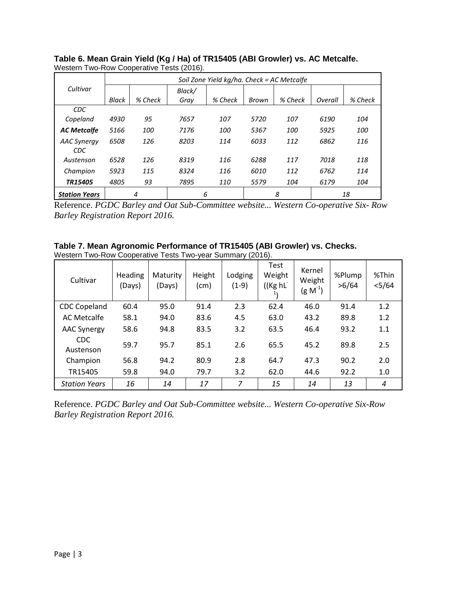|                           |       | Soil Zone Yield kg/ha. Check = AC Metcalfe |        |         |       |         |         |         |  |  |  |
|---------------------------|-------|--------------------------------------------|--------|---------|-------|---------|---------|---------|--|--|--|
| Cultivar                  |       |                                            | Black/ |         |       |         |         |         |  |  |  |
|                           | Black | % Check                                    | Gray   | % Check | Brown | % Check | Overall | % Check |  |  |  |
| <b>CDC</b>                |       |                                            |        |         |       |         |         |         |  |  |  |
| Copeland                  | 4930  | 95                                         | 7657   | 107     | 5720  | 107     | 6190    | 104     |  |  |  |
| <b>AC Metcalfe</b>        | 5166  | 100                                        | 7176   | 100     | 5367  | 100     | 5925    | 100     |  |  |  |
| <b>AAC Synergy</b><br>CDC | 6508  | 126                                        | 8203   | 114     | 6033  | 112     | 6862    | 116     |  |  |  |
| Austenson                 | 6528  | 126                                        | 8319   | 116     | 6288  | 117     | 7018    | 118     |  |  |  |
| Champion                  | 5923  | 115                                        | 8324   | 116     | 6010  | 112     | 6762    | 114     |  |  |  |
| TR15405                   | 4805  | 93                                         | 7895   | 110     | 5579  | 104     | 6179    | 104     |  |  |  |
| <b>Station Years</b>      |       | 6<br>8<br>4<br>18                          |        |         |       |         |         |         |  |  |  |

**Table 6. Mean Grain Yield (Kg / Ha) of TR15405 (ABI Growler) vs. AC Metcalfe.** Western Two-Row Cooperative Tests (2016).

Reference. *PGDC Barley and Oat Sub-Committee website... Western Co-operative Six- Row Barley Registration Report 2016.* 

**Table 7. Mean Agronomic Performance of TR15405 (ABI Growler) vs. Checks.** Western Two-Row Cooperative Tests Two-year Summary (2016).

| Cultivar                | <b>Heading</b><br>(Days) | Maturity<br>(Days) | Height<br>$\pmb{(cm)}$ | Lodging<br>$(1-9)$ | <b>Test</b><br>Weight<br>((Kg hL | Kernel<br>Weight<br>$(g M^{-1})$ | %Plump<br>>6/64 | %Thin<br>$<$ 5/64 |
|-------------------------|--------------------------|--------------------|------------------------|--------------------|----------------------------------|----------------------------------|-----------------|-------------------|
| <b>CDC Copeland</b>     | 60.4                     | 95.0               | 91.4                   | 2.3                | 62.4                             | 46.0                             | 91.4            | 1.2               |
| <b>AC Metcalfe</b>      | 58.1                     | 94.0               | 83.6                   | 4.5                | 63.0                             | 43.2                             | 89.8            | 1.2               |
| <b>AAC Synergy</b>      | 58.6                     | 94.8               | 83.5                   | 3.2                | 63.5                             | 46.4                             | 93.2            | 1.1               |
| <b>CDC</b><br>Austenson | 59.7                     | 95.7               | 85.1                   | 2.6                | 65.5                             | 45.2                             | 89.8            | 2.5               |
| Champion                | 56.8                     | 94.2               | 80.9                   | 2.8                | 64.7                             | 47.3                             | 90.2            | 2.0               |
| TR15405                 | 59.8                     | 94.0               | 79.7                   | 3.2                | 62.0                             | 44.6                             | 92.2            | 1.0               |
| <b>Station Years</b>    | 16                       | 14                 | 17                     | 7                  | 15                               | 14                               | 13              | 4                 |

Reference. *PGDC Barley and Oat Sub-Committee website... Western Co-operative Six-Row Barley Registration Report 2016.*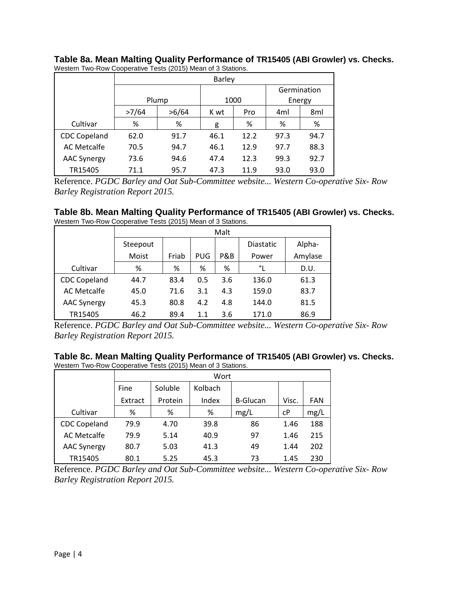|                     |       | <b>Barley</b> |      |      |      |             |  |  |  |  |  |
|---------------------|-------|---------------|------|------|------|-------------|--|--|--|--|--|
|                     |       |               |      |      |      | Germination |  |  |  |  |  |
|                     |       | Plump         |      | 1000 |      | Energy      |  |  |  |  |  |
|                     | >7/64 | >6/64         | K wt | 4ml  | 8ml  |             |  |  |  |  |  |
| Cultivar            | %     | %             | g    | %    | %    | %           |  |  |  |  |  |
| <b>CDC Copeland</b> | 62.0  | 91.7          | 46.1 | 12.2 | 97.3 | 94.7        |  |  |  |  |  |
| <b>AC Metcalfe</b>  | 70.5  | 94.7          | 46.1 | 12.9 | 97.7 | 88.3        |  |  |  |  |  |
| <b>AAC Synergy</b>  | 73.6  | 94.6          | 47.4 | 12.3 | 99.3 | 92.7        |  |  |  |  |  |
| TR15405             | 71.1  | 95.7          | 47.3 | 11.9 | 93.0 | 93.0        |  |  |  |  |  |

**Table 8a. Mean Malting Quality Performance of TR15405 (ABI Growler) vs. Checks.** Western Two-Row Cooperative Tests (2015) Mean of 3 Stations.

Reference. *PGDC Barley and Oat Sub-Committee website... Western Co-operative Six- Row Barley Registration Report 2015.* 

| Table 8b. Mean Malting Quality Performance of TR15405 (ABI Growler) vs. Checks. |  |  |  |
|---------------------------------------------------------------------------------|--|--|--|
| Western Two-Row Cooperative Tests (2015) Mean of 3 Stations.                    |  |  |  |

|                     | Malt     |       |            |     |                  |         |  |  |  |  |  |
|---------------------|----------|-------|------------|-----|------------------|---------|--|--|--|--|--|
|                     | Steepout |       |            |     | <b>Diastatic</b> | Alpha-  |  |  |  |  |  |
|                     | Moist    | Friab | <b>PUG</b> | P&B | Power            | Amylase |  |  |  |  |  |
| Cultivar            | %        | %     | %          | %   | °∟               | D.U.    |  |  |  |  |  |
| <b>CDC Copeland</b> | 44.7     | 83.4  | 0.5        | 3.6 | 136.0            | 61.3    |  |  |  |  |  |
| <b>AC Metcalfe</b>  | 45.0     | 71.6  | 3.1        | 4.3 | 159.0            | 83.7    |  |  |  |  |  |
| <b>AAC Synergy</b>  | 45.3     | 80.8  | 4.2        | 4.8 | 144.0            | 81.5    |  |  |  |  |  |
| TR15405             | 46.2     | 89.4  | 1.1        | 3.6 | 171.0            | 86.9    |  |  |  |  |  |

Reference. *PGDC Barley and Oat Sub-Committee website... Western Co-operative Six- Row Barley Registration Report 2015.* 

**Table 8c. Mean Malting Quality Performance of TR15405 (ABI Growler) vs. Checks.** Western Two-Row Cooperative Tests (2015) Mean of 3 Stations.

|                     |         | Wort    |         |                 |       |            |  |  |  |  |  |
|---------------------|---------|---------|---------|-----------------|-------|------------|--|--|--|--|--|
|                     | Fine    | Soluble | Kolbach |                 |       |            |  |  |  |  |  |
|                     | Extract | Protein | Index   | <b>B-Glucan</b> | Visc. | <b>FAN</b> |  |  |  |  |  |
| Cultivar            | %       | %       | %       | mg/L            | cP    | mg/L       |  |  |  |  |  |
| <b>CDC Copeland</b> | 79.9    | 4.70    | 39.8    | 86              | 1.46  | 188        |  |  |  |  |  |
| <b>AC Metcalfe</b>  | 79.9    | 5.14    | 40.9    | 97              | 1.46  | 215        |  |  |  |  |  |
| <b>AAC Synergy</b>  | 80.7    | 5.03    | 41.3    | 49              | 1.44  | 202        |  |  |  |  |  |
| TR15405             | 80.1    | 5.25    | 45.3    | 73              | 1.45  | 230        |  |  |  |  |  |

Reference. *PGDC Barley and Oat Sub-Committee website... Western Co-operative Six- Row Barley Registration Report 2015.*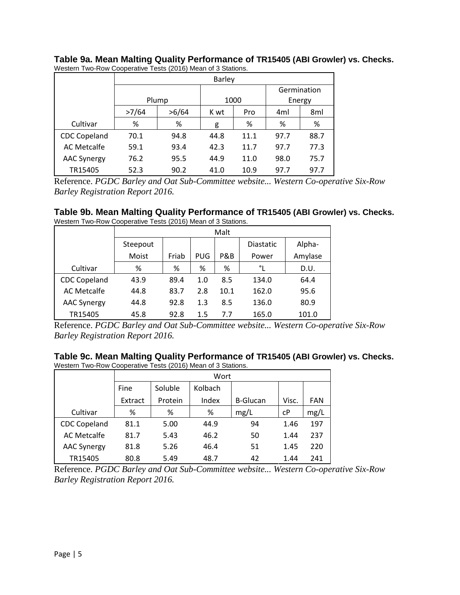|                     |              | <b>Barley</b> |      |      |             |      |  |  |  |  |  |
|---------------------|--------------|---------------|------|------|-------------|------|--|--|--|--|--|
|                     |              |               |      |      | Germination |      |  |  |  |  |  |
|                     |              | Plump         |      | 1000 | Energy      |      |  |  |  |  |  |
|                     | >7/64        | >6/64         | K wt | Pro  | 4ml         | 8ml  |  |  |  |  |  |
| Cultivar            | %            | %             | g    | %    | %           | %    |  |  |  |  |  |
| <b>CDC Copeland</b> | 70.1<br>94.8 |               | 44.8 | 11.1 | 97.7        | 88.7 |  |  |  |  |  |
| AC Metcalfe         | 59.1         | 93.4          | 42.3 | 11.7 | 97.7        | 77.3 |  |  |  |  |  |
| <b>AAC Synergy</b>  | 76.2         | 95.5          | 44.9 | 11.0 | 98.0        | 75.7 |  |  |  |  |  |
| TR15405             | 52.3         | 90.2          | 41.0 | 10.9 | 97.7        | 97.7 |  |  |  |  |  |

**Table 9a. Mean Malting Quality Performance of TR15405 (ABI Growler) vs. Checks.** Western Two-Row Cooperative Tests (2016) Mean of 3 Stations.

Reference. *PGDC Barley and Oat Sub-Committee website... Western Co-operative Six-Row Barley Registration Report 2016.* 

| Table 9b. Mean Malting Quality Performance of TR15405 (ABI Growler) vs. Checks. |  |
|---------------------------------------------------------------------------------|--|
| Western Two-Row Cooperative Tests (2016) Mean of 3 Stations.                    |  |

|                     |          | Malt  |            |      |                  |         |  |  |  |  |  |  |
|---------------------|----------|-------|------------|------|------------------|---------|--|--|--|--|--|--|
|                     | Steepout |       |            |      | <b>Diastatic</b> | Alpha-  |  |  |  |  |  |  |
|                     | Moist    | Friab | <b>PUG</b> | P&B  | Power            | Amylase |  |  |  |  |  |  |
| Cultivar            | %        | %     | %          | %    | °L               | D.U.    |  |  |  |  |  |  |
| <b>CDC Copeland</b> | 43.9     | 89.4  | 1.0        | 8.5  | 134.0            | 64.4    |  |  |  |  |  |  |
| <b>AC Metcalfe</b>  | 44.8     | 83.7  | 2.8        | 10.1 | 162.0            | 95.6    |  |  |  |  |  |  |
| <b>AAC Synergy</b>  | 44.8     | 92.8  | 1.3        | 8.5  | 136.0            | 80.9    |  |  |  |  |  |  |
| TR15405             | 45.8     | 92.8  | 1.5        | 7.7  | 165.0            | 101.0   |  |  |  |  |  |  |

Reference. *PGDC Barley and Oat Sub-Committee website... Western Co-operative Six-Row Barley Registration Report 2016.* 

**Table 9c. Mean Malting Quality Performance of TR15405 (ABI Growler) vs. Checks.** Western Two-Row Cooperative Tests (2016) Mean of 3 Stations.

|                     | Wort    |         |         |                 |       |            |  |  |  |  |
|---------------------|---------|---------|---------|-----------------|-------|------------|--|--|--|--|
|                     | Fine    | Soluble | Kolbach |                 |       |            |  |  |  |  |
|                     | Extract | Protein | Index   | <b>B-Glucan</b> | Visc. | <b>FAN</b> |  |  |  |  |
| Cultivar            | %       | %       | %       | mg/L            | cP    | mg/L       |  |  |  |  |
| <b>CDC Copeland</b> | 81.1    | 5.00    | 44.9    | 94              | 1.46  | 197        |  |  |  |  |
| <b>AC Metcalfe</b>  | 81.7    | 5.43    | 46.2    | 50              | 1.44  | 237        |  |  |  |  |
| <b>AAC Synergy</b>  | 81.8    | 5.26    | 46.4    | 51              | 1.45  | 220        |  |  |  |  |
| TR15405             | 80.8    | 5.49    | 48.7    | 42              | 1.44  | 241        |  |  |  |  |

Reference. *PGDC Barley and Oat Sub-Committee website... Western Co-operative Six-Row Barley Registration Report 2016.*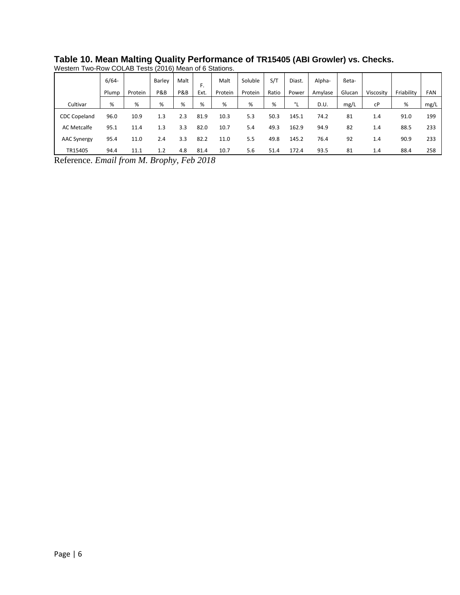|                     | $6/64 -$      |         | Barley | Malt | F.        | Malt    | Soluble | S/T   | Diast. | Alpha-  | ßeta-  |           |            |            |
|---------------------|---------------|---------|--------|------|-----------|---------|---------|-------|--------|---------|--------|-----------|------------|------------|
|                     | Plump         | Protein | P&B    | P&B  | Ext.      | Protein | Protein | Ratio | Power  | Amylase | Glucan | Viscosity | Friability | <b>FAN</b> |
| Cultivar            | %             | %       | %      | %    | %         | %       | %       | %     | ۰ı     | D.U.    | mg/L   | cP        | %          | mg/L       |
| <b>CDC Copeland</b> | 96.0          | 10.9    | 1.3    | 2.3  | 81.9      | 10.3    | 5.3     | 50.3  | 145.1  | 74.2    | 81     | 1.4       | 91.0       | 199        |
| <b>AC Metcalfe</b>  | 95.1          | 11.4    | 1.3    | 3.3  | 82.0      | 10.7    | 5.4     | 49.3  | 162.9  | 94.9    | 82     | 1.4       | 88.5       | 233        |
| <b>AAC Synergy</b>  | 95.4          | 11.0    | 2.4    | 3.3  | 82.2      | 11.0    | 5.5     | 49.8  | 145.2  | 76.4    | 92     | 1.4       | 90.9       | 233        |
| TR15405<br>$\sim$   | 94.4<br>$  -$ | 11.1    | 1.2    | 4.8  | 81.4<br>_ | 10.7    | 5.6     | 51.4  | 172.4  | 93.5    | 81     | 1.4       | 88.4       | 258        |

**Table 10. Mean Malting Quality Performance of TR15405 (ABI Growler) vs. Checks.** Western Two-Row COLAB Tests (2016) Mean of 6 Stations.

Reference. *Email from M. Brophy, Feb 2018*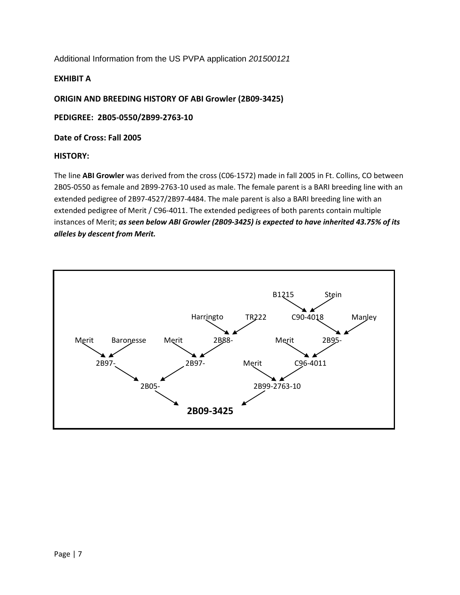Additional Information from the US PVPA application *201500121*

#### **EXHIBIT A**

**ORIGIN AND BREEDING HISTORY OF ABI Growler (2B09-3425)**

**PEDIGREE: 2B05-0550/2B99-2763-10**

**Date of Cross: Fall 2005**

#### **HISTORY:**

The line **ABI Growler** was derived from the cross (C06-1572) made in fall 2005 in Ft. Collins, CO between 2B05-0550 as female and 2B99-2763-10 used as male. The female parent is a BARI breeding line with an extended pedigree of 2B97-4527/2B97-4484. The male parent is also a BARI breeding line with an extended pedigree of Merit / C96-4011. The extended pedigrees of both parents contain multiple instances of Merit; *as seen below ABI Growler (2B09-3425) is expected to have inherited 43.75% of its alleles by descent from Merit.*

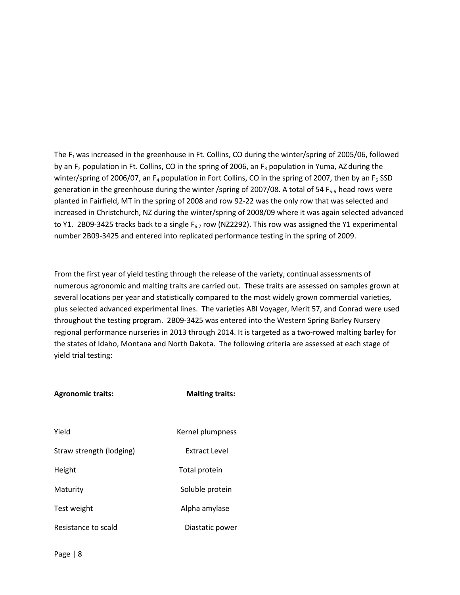The F<sub>1</sub> was increased in the greenhouse in Ft. Collins, CO during the winter/spring of 2005/06, followed by an  $F_2$  population in Ft. Collins, CO in the spring of 2006, an  $F_3$  population in Yuma, AZ during the winter/spring of 2006/07, an  $F_4$  population in Fort Collins, CO in the spring of 2007, then by an  $F_5$  SSD generation in the greenhouse during the winter /spring of 2007/08. A total of 54  $F_{5:6}$  head rows were planted in Fairfield, MT in the spring of 2008 and row 92-22 was the only row that was selected and increased in Christchurch, NZ during the winter/spring of 2008/09 where it was again selected advanced to Y1. 2B09-3425 tracks back to a single  $F_{6:7}$  row (NZ2292). This row was assigned the Y1 experimental number 2B09-3425 and entered into replicated performance testing in the spring of 2009.

From the first year of yield testing through the release of the variety, continual assessments of numerous agronomic and malting traits are carried out. These traits are assessed on samples grown at several locations per year and statistically compared to the most widely grown commercial varieties, plus selected advanced experimental lines. The varieties ABI Voyager, Merit 57, and Conrad were used throughout the testing program. 2B09-3425 was entered into the Western Spring Barley Nursery regional performance nurseries in 2013 through 2014. It is targeted as a two-rowed malting barley for the states of Idaho, Montana and North Dakota. The following criteria are assessed at each stage of yield trial testing:

| <b>Agronomic traits:</b> | <b>Malting traits:</b> |  |  |  |  |
|--------------------------|------------------------|--|--|--|--|
|                          |                        |  |  |  |  |
| Yield                    | Kernel plumpness       |  |  |  |  |
| Straw strength (lodging) | Extract Level          |  |  |  |  |
| Height                   | Total protein          |  |  |  |  |
| Maturity                 | Soluble protein        |  |  |  |  |
| Test weight              | Alpha amylase          |  |  |  |  |
| Resistance to scald      | Diastatic power        |  |  |  |  |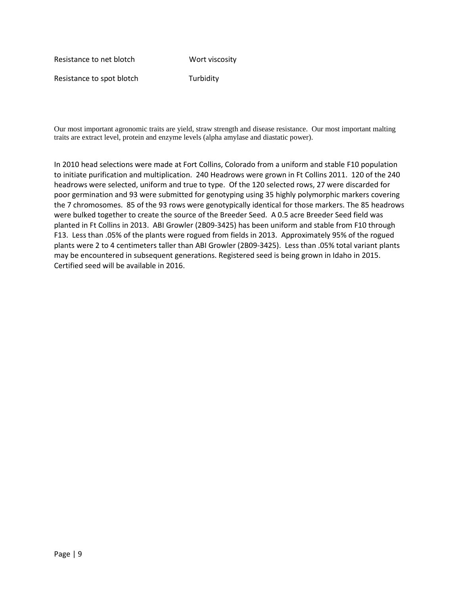Resistance to net blotch Wort viscosity

Resistance to spot blotch Turbidity

Our most important agronomic traits are yield, straw strength and disease resistance. Our most important malting traits are extract level, protein and enzyme levels (alpha amylase and diastatic power).

In 2010 head selections were made at Fort Collins, Colorado from a uniform and stable F10 population to initiate purification and multiplication. 240 Headrows were grown in Ft Collins 2011. 120 of the 240 headrows were selected, uniform and true to type. Of the 120 selected rows, 27 were discarded for poor germination and 93 were submitted for genotyping using 35 highly polymorphic markers covering the 7 chromosomes. 85 of the 93 rows were genotypically identical for those markers. The 85 headrows were bulked together to create the source of the Breeder Seed. A 0.5 acre Breeder Seed field was planted in Ft Collins in 2013. ABI Growler (2B09-3425) has been uniform and stable from F10 through F13. Less than .05% of the plants were rogued from fields in 2013. Approximately 95% of the rogued plants were 2 to 4 centimeters taller than ABI Growler (2B09-3425). Less than .05% total variant plants may be encountered in subsequent generations. Registered seed is being grown in Idaho in 2015. Certified seed will be available in 2016.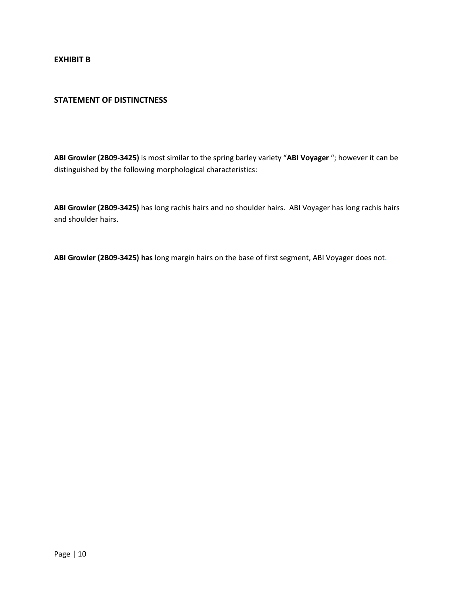**EXHIBIT B**

#### **STATEMENT OF DISTINCTNESS**

**ABI Growler (2B09-3425)** is most similar to the spring barley variety "**ABI Voyager** "; however it can be distinguished by the following morphological characteristics:

**ABI Growler (2B09-3425)** has long rachis hairs and no shoulder hairs. ABI Voyager has long rachis hairs and shoulder hairs.

**ABI Growler (2B09-3425) has** long margin hairs on the base of first segment, ABI Voyager does not.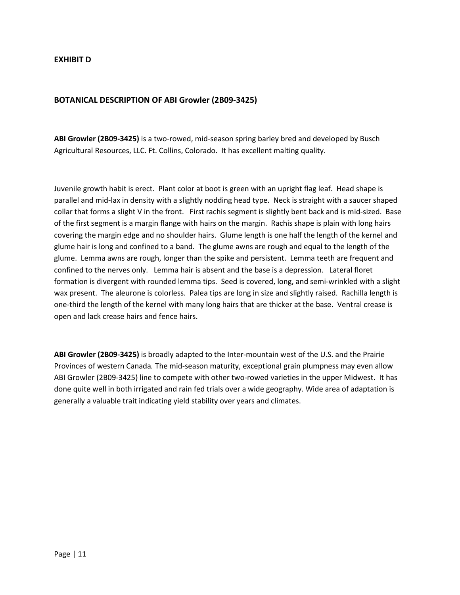#### **EXHIBIT D**

#### **BOTANICAL DESCRIPTION OF ABI Growler (2B09-3425)**

**ABI Growler (2B09-3425)** is a two-rowed, mid-season spring barley bred and developed by Busch Agricultural Resources, LLC. Ft. Collins, Colorado. It has excellent malting quality.

Juvenile growth habit is erect. Plant color at boot is green with an upright flag leaf. Head shape is parallel and mid-lax in density with a slightly nodding head type. Neck is straight with a saucer shaped collar that forms a slight V in the front. First rachis segment is slightly bent back and is mid-sized. Base of the first segment is a margin flange with hairs on the margin. Rachis shape is plain with long hairs covering the margin edge and no shoulder hairs. Glume length is one half the length of the kernel and glume hair is long and confined to a band. The glume awns are rough and equal to the length of the glume. Lemma awns are rough, longer than the spike and persistent. Lemma teeth are frequent and confined to the nerves only. Lemma hair is absent and the base is a depression. Lateral floret formation is divergent with rounded lemma tips. Seed is covered, long, and semi-wrinkled with a slight wax present. The aleurone is colorless. Palea tips are long in size and slightly raised. Rachilla length is one-third the length of the kernel with many long hairs that are thicker at the base. Ventral crease is open and lack crease hairs and fence hairs.

**ABI Growler (2B09-3425)** is broadly adapted to the Inter-mountain west of the U.S. and the Prairie Provinces of western Canada*.* The mid-season maturity, exceptional grain plumpness may even allow ABI Growler (2B09-3425) line to compete with other two-rowed varieties in the upper Midwest. It has done quite well in both irrigated and rain fed trials over a wide geography. Wide area of adaptation is generally a valuable trait indicating yield stability over years and climates.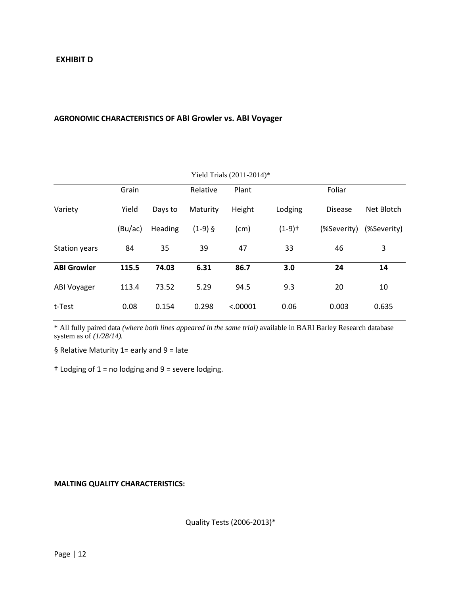## **AGRONOMIC CHARACTERISTICS OF ABI Growler vs. ABI Voyager**

| Yield Trials (2011-2014)* |         |         |           |          |                      |                |             |  |  |  |
|---------------------------|---------|---------|-----------|----------|----------------------|----------------|-------------|--|--|--|
|                           | Grain   |         | Relative  | Plant    |                      | Foliar         |             |  |  |  |
| Variety                   | Yield   | Days to | Maturity  | Height   | Lodging              | <b>Disease</b> | Net Blotch  |  |  |  |
|                           | (Bu/ac) | Heading | $(1-9)$ § | (cm)     | $(1-9)$ <sup>+</sup> | (%Severity)    | (%Severity) |  |  |  |
| <b>Station years</b>      | 84      | 35      | 39        | 47       | 33                   | 46             | 3           |  |  |  |
| <b>ABI Growler</b>        | 115.5   | 74.03   | 6.31      | 86.7     | 3.0                  | 24             | 14          |  |  |  |
| ABI Voyager               | 113.4   | 73.52   | 5.29      | 94.5     | 9.3                  | 20             | 10          |  |  |  |
| t-Test                    | 0.08    | 0.154   | 0.298     | < .00001 | 0.06                 | 0.003          | 0.635       |  |  |  |

\* All fully paired data *(where both lines appeared in the same trial)* available in BARI Barley Research database system as of *(1/28/14).*

§ Relative Maturity 1= early and 9 = late

† Lodging of 1 = no lodging and 9 = severe lodging.

**MALTING QUALITY CHARACTERISTICS:**

Quality Tests (2006-2013)\*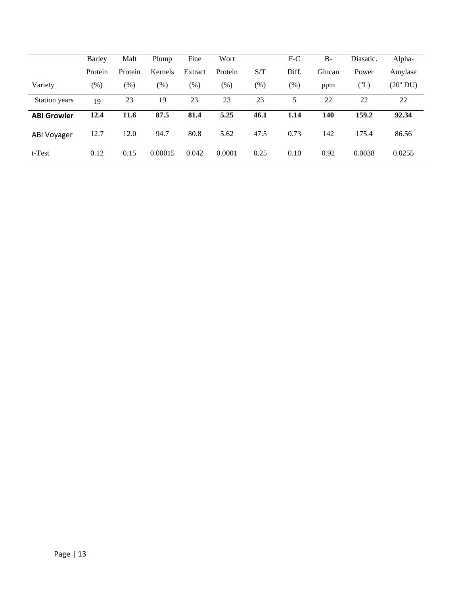|                    | Barley  | Malt    | Plump   | Fine    | Wort    |      | $F-C$   | $B -$  | Diasatic. | Alpha-            |
|--------------------|---------|---------|---------|---------|---------|------|---------|--------|-----------|-------------------|
|                    | Protein | Protein | Kernels | Extract | Protein | S/T  | Diff.   | Glucan | Power     | Amylase           |
| Variety            | (% )    | $(\% )$ | $(\%)$  | $(\%)$  | $(\% )$ | (% ) | $(\% )$ | ppm    | $({}^0L)$ | $(20^{\circ}$ DU) |
| Station years      | 19      | 23      | 19      | 23      | 23      | 23   | 5       | 22     | 22        | 22                |
| <b>ABI Growler</b> | 12.4    | 11.6    | 87.5    | 81.4    | 5.25    | 46.1 | 1.14    | 140    | 159.2     | 92.34             |
| <b>ABI Voyager</b> | 12.7    | 12.0    | 94.7    | 80.8    | 5.62    | 47.5 | 0.73    | 142    | 175.4     | 86.56             |
| t-Test             | 0.12    | 0.15    | 0.00015 | 0.042   | 0.0001  | 0.25 | 0.10    | 0.92   | 0.0038    | 0.0255            |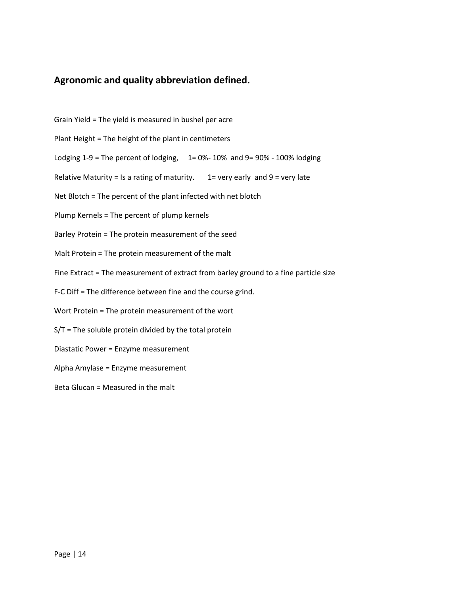# **Agronomic and quality abbreviation defined.**

- Grain Yield = The yield is measured in bushel per acre
- Plant Height = The height of the plant in centimeters
- Lodging  $1-9$  = The percent of lodging,  $1= 0\% 10\%$  and  $9= 90\% 100\%$  lodging
- Relative Maturity = Is a rating of maturity.  $1=$  very early and 9 = very late
- Net Blotch = The percent of the plant infected with net blotch
- Plump Kernels = The percent of plump kernels
- Barley Protein = The protein measurement of the seed
- Malt Protein = The protein measurement of the malt
- Fine Extract = The measurement of extract from barley ground to a fine particle size
- F-C Diff = The difference between fine and the course grind.
- Wort Protein = The protein measurement of the wort
- S/T = The soluble protein divided by the total protein
- Diastatic Power = Enzyme measurement
- Alpha Amylase = Enzyme measurement
- Beta Glucan = Measured in the malt